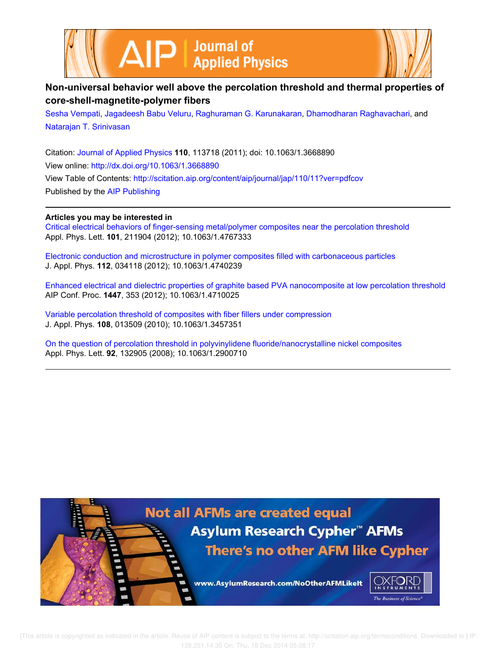



# **Non-universal behavior well above the percolation threshold and thermal properties of core-shell-magnetite-polymer fibers**

Sesha Vempati, Jagadeesh Babu Veluru, Raghuraman G. Karunakaran, Dhamodharan Raghavachari, and Natarajan T. Srinivasan

Citation: Journal of Applied Physics **110**, 113718 (2011); doi: 10.1063/1.3668890 View online: http://dx.doi.org/10.1063/1.3668890 View Table of Contents: http://scitation.aip.org/content/aip/journal/jap/110/11?ver=pdfcov Published by the AIP Publishing

# **Articles you may be interested in**

Critical electrical behaviors of finger-sensing metal/polymer composites near the percolation threshold Appl. Phys. Lett. **101**, 211904 (2012); 10.1063/1.4767333

Electronic conduction and microstructure in polymer composites filled with carbonaceous particles J. Appl. Phys. **112**, 034118 (2012); 10.1063/1.4740239

Enhanced electrical and dielectric properties of graphite based PVA nanocomposite at low percolation threshold AIP Conf. Proc. **1447**, 353 (2012); 10.1063/1.4710025

Variable percolation threshold of composites with fiber fillers under compression J. Appl. Phys. **108**, 013509 (2010); 10.1063/1.3457351

On the question of percolation threshold in polyvinylidene fluoride/nanocrystalline nickel composites Appl. Phys. Lett. **92**, 132905 (2008); 10.1063/1.2900710

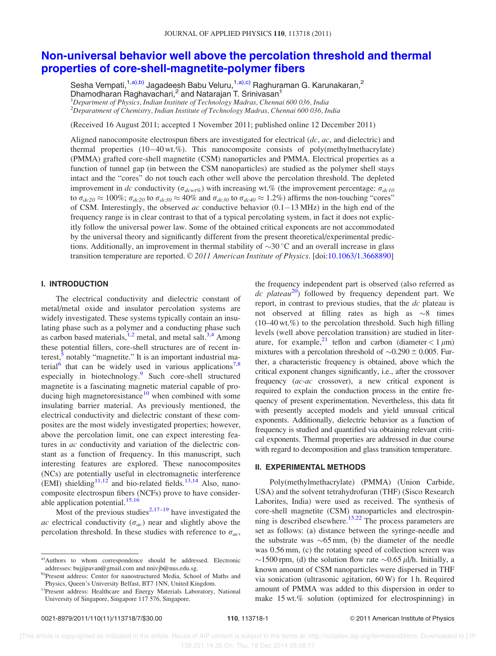# Non-universal behavior well above the percolation threshold and thermal properties of core-shell-magnetite-polymer fibers

Sesha Vempati,<sup>1,a),b)</sup> Jagadeesh Babu Veluru,<sup>1,a),c)</sup> Raghuraman G. Karunakaran,<sup>2</sup> Dhamodharan Raghavachari,<sup>2</sup> and Natarajan T. Srinivasan<sup>1</sup>  $1$ Department of Physics, Indian Institute of Technology Madras, Chennai 600 036, India  $^{2}$ Deparatment of Chemistry, Indian Institute of Technology Madras, Chennai 600 036, India

(Received 16 August 2011; accepted 1 November 2011; published online 12 December 2011)

Aligned nanocomposite electrospun fibers are investigated for electrical  $dc$ ,  $ac$ , and dielectric) and thermal properties (10-40 wt.%). This nanocomposite consists of poly(methylmethacrylate) (PMMA) grafted core-shell magnetite (CSM) nanoparticles and PMMA. Electrical properties as a function of tunnel gap (in between the CSM nanoparticles) are studied as the polymer shell stays intact and the "cores" do not touch each other well above the percolation threshold. The depleted improvement in dc conductivity ( $\sigma_{dcwt\%}$ ) with increasing wt.% (the improvement percentage:  $\sigma_{dc10}$ to  $\sigma_{dc20} \approx 100\%$ ;  $\sigma_{dc20}$  to  $\sigma_{dc30} \approx 40\%$  and  $\sigma_{dc30}$  to  $\sigma_{dc40} \approx 1.2\%$ ) affirms the non-touching "cores" of CSM. Interestingly, the observed ac conductive behavior  $(0.1-13 \text{ MHz})$  in the high end of the frequency range is in clear contrast to that of a typical percolating system, in fact it does not explicitly follow the universal power law. Some of the obtained critical exponents are not accommodated by the universal theory and significantly different from the present theoretical/experimental predictions. Additionally, an improvement in thermal stability of  $\sim 30\degree C$  and an overall increase in glass transition temperature are reported. © 2011 American Institute of Physics. [doi:10.1063/1.3668890]

#### I. INTRODUCTION

The electrical conductivity and dielectric constant of metal/metal oxide and insulator percolation systems are widely investigated. These systems typically contain an insulating phase such as a polymer and a conducting phase such as carbon based materials,  $1,2$  metal, and metal salt.<sup>3,4</sup> Among these potential fillers, core-shell structures are of recent interest,<sup>5</sup> notably "magnetite." It is an important industrial material<sup>6</sup> that can be widely used in various applications<sup>7,8</sup> especially in biotechnology.<sup>9</sup> Such core-shell structured magnetite is a fascinating magnetic material capable of producing high magnetoresistance<sup>10</sup> when combined with some insulating barrier material. As previously mentioned, the electrical conductivity and dielectric constant of these composites are the most widely investigated properties; however, above the percolation limit, one can expect interesting features in ac conductivity and variation of the dielectric constant as a function of frequency. In this manuscript, such interesting features are explored. These nanocomposites (NCs) are potentially useful in electromagnetic interference (EMI) shielding<sup>11,12</sup> and bio-related fields.<sup>13,14</sup> Also, nanocomposite electrospun fibers (NCFs) prove to have considerable application potential. $15,16$ 

Most of the previous studies<sup>2,17–19</sup> have investigated the ac electrical conductivity  $(\sigma_{ac})$  near and slightly above the percolation threshold. In these studies with reference to  $\sigma_{ac}$ , the frequency independent part is observed (also referred as dc plateau $^{20}$ ) followed by frequency dependent part. We report, in contrast to previous studies, that the dc plateau is not observed at filling rates as high as  $\sim 8$  times  $(10-40 \text{ wt.}\%)$  to the percolation threshold. Such high filling levels (well above percolation transition) are studied in literature, for example,<sup>21</sup> teflon and carbon (diameter  $< 1 \mu m$ ) mixtures with a percolation threshold of  $\sim 0.290 \pm 0.005$ . Further, a characteristic frequency is obtained, above which the critical exponent changes significantly, i.e., after the crossover frequency (ac-ac crossover), a new critical exponent is required to explain the conduction process in the entire frequency of present experimentation. Nevertheless, this data fit with presently accepted models and yield unusual critical exponents. Additionally, dielectric behavior as a function of frequency is studied and quantified via obtaining relevant critical exponents. Thermal properties are addressed in due course with regard to decomposition and glass transition temperature.

## II. EXPERIMENTAL METHODS

Poly(methylmethacrylate) (PMMA) (Union Carbide, USA) and the solvent tetrahydrofuran (THF) (Sisco Research Laborites, India) were used as received. The synthesis of core-shell magnetite (CSM) nanoparticles and electrospinning is described elsewhere.<sup>15,22</sup> The process parameters are set as follows: (a) distance between the syringe-needle and the substrate was  $\sim 65$  mm, (b) the diameter of the needle was 0.56 mm, (c) the rotating speed of collection screen was  $\sim$ 1500 rpm, (d) the solution flow rate  $\sim$ 0.65  $\mu$ l/h. Initially, a known amount of CSM nanoparticles were dispersed in THF via sonication (ultrasonic agitation, 60 W) for 1 h. Required amount of PMMA was added to this dispersion in order to make 15 wt.% solution (optimized for electrospinning) in

a)Authors to whom correspondence should be addressed. Electronic addresses: bujjipavan@gmail.com and nnivjb@nus.edu.sg.

b)Present address: Center for nanostructured Media, School of Maths and Physics, Queen's University Belfast, BT7 1NN, United Kingdom.

c)Present address: Healthcare and Energy Materials Laboratory, National University of Singapore, Singapore 117 576, Singapore.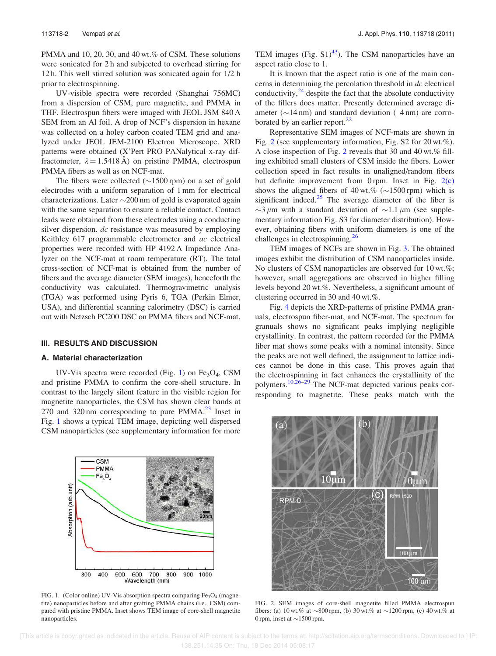PMMA and 10, 20, 30, and 40 wt.% of CSM. These solutions were sonicated for 2 h and subjected to overhead stirring for 12 h. This well stirred solution was sonicated again for 1/2 h prior to electrospinning.

UV-visible spectra were recorded (Shanghai 756MC) from a dispersion of CSM, pure magnetite, and PMMA in THF. Electrospun fibers were imaged with JEOL JSM 840 A SEM from an Al foil. A drop of NCF's dispersion in hexane was collected on a holey carbon coated TEM grid and analyzed under JEOL JEM-2100 Electron Microscope. XRD patterns were obtained (X'Pert PRO PANalytical x-ray diffractometer,  $\lambda = 1.5418 \text{ Å}$ ) on pristine PMMA, electrospun PMMA fibers as well as on NCF-mat.

The fibers were collected ( $\sim$ 1500 rpm) on a set of gold electrodes with a uniform separation of 1 mm for electrical characterizations. Later  $\sim$ 200 nm of gold is evaporated again with the same separation to ensure a reliable contact. Contact leads were obtained from these electrodes using a conducting silver dispersion. dc resistance was measured by employing Keithley 617 programmable electrometer and ac electrical properties were recorded with HP 4192 A Impedance Analyzer on the NCF-mat at room temperature (RT). The total cross-section of NCF-mat is obtained from the number of fibers and the average diameter (SEM images), henceforth the conductivity was calculated. Thermogravimetric analysis (TGA) was performed using Pyris 6, TGA (Perkin Elmer, USA), and differential scanning calorimetry (DSC) is carried out with Netzsch PC200 DSC on PMMA fibers and NCF-mat.

### III. RESULTS AND DISCUSSION

**CSM** PMMA  $Fe_3O_4$ 

#### A. Material characterization

nanoparticles.

Absorption (arb.unit)

UV-Vis spectra were recorded (Fig. 1) on  $Fe<sub>3</sub>O<sub>4</sub>$ , CSM and pristine PMMA to confirm the core-shell structure. In contrast to the largely silent feature in the visible region for magnetite nanoparticles, the CSM has shown clear bands at 270 and 320 nm corresponding to pure  $PMMA<sup>23</sup>$  Inset in Fig. 1 shows a typical TEM image, depicting well dispersed CSM nanoparticles (see supplementary information for more TEM images (Fig.  $S1$ )<sup>43</sup>). The CSM nanoparticles have an aspect ratio close to 1.

It is known that the aspect ratio is one of the main concerns in determining the percolation threshold in dc electrical conductivity, $^{24}$  despite the fact that the absolute conductivity of the fillers does matter. Presently determined average diameter ( $\sim$ 14 nm) and standard deviation (4 nm) are corroborated by an earlier report. $^{22}$ 

Representative SEM images of NCF-mats are shown in Fig. 2 (see supplementary information, Fig. S2 for 20 wt.%). A close inspection of Fig. 2 reveals that 30 and 40 wt.% filling exhibited small clusters of CSM inside the fibers. Lower collection speed in fact results in unaligned/random fibers but definite improvement from 0 rpm. Inset in Fig. 2(c) shows the aligned fibers of  $40 \text{ wt.} \%$  ( $\sim$ 1500 rpm) which is significant indeed. $25$  The average diameter of the fiber is  $\sim$ 3  $\mu$ m with a standard deviation of  $\sim$ 1.1  $\mu$ m (see supplementary information Fig. S3 for diameter distribution). However, obtaining fibers with uniform diameters is one of the challenges in electrospinning.<sup>26</sup>

TEM images of NCFs are shown in Fig. 3. The obtained images exhibit the distribution of CSM nanoparticles inside. No clusters of CSM nanoparticles are observed for 10 wt.%; however, small aggregations are observed in higher filling levels beyond 20 wt.%. Nevertheless, a significant amount of clustering occurred in 30 and 40 wt.%.

Fig. 4 depicts the XRD-patterns of pristine PMMA granuals, electrospun fiber-mat, and NCF-mat. The spectrum for granuals shows no significant peaks implying negligible crystallinity. In contrast, the pattern recorded for the PMMA fiber mat shows some peaks with a nominal intensity. Since the peaks are not well defined, the assignment to lattice indices cannot be done in this case. This proves again that the electrospinning in fact enhances the crystallinity of the polymers.10,26–29 The NCF-mat depicted various peaks corresponding to magnetite. These peaks match with the



FIG. 2. SEM images of core-shell magnetite filled PMMA electrospun fibers: (a) 10 wt.% at  $\sim 800$  rpm, (b) 30 wt.% at  $\sim 1200$  rpm, (c) 40 wt.% at 0 rpm, inset at  $\sim$  1500 rpm.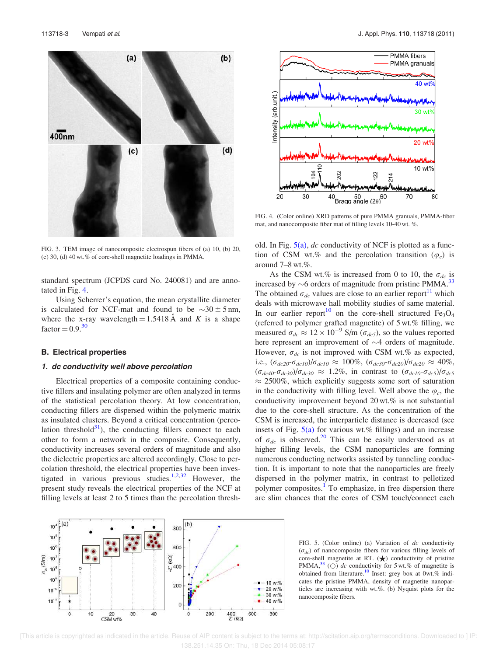$(b)$  $(a)$  $400nm$  $(d)$  $(c)$ 

FIG. 3. TEM image of nanocomposite electrospun fibers of (a) 10, (b) 20, (c) 30, (d) 40 wt.% of core-shell magnetite loadings in PMMA.

standard spectrum (JCPDS card No. 240081) and are annotated in Fig. 4.

Using Scherrer's equation, the mean crystallite diameter is calculated for NCF-mat and found to be  $\sim 30 \pm 5$  nm, where the x-ray wavelength  $= 1.5418$  Å and K is a shape  $factor = 0.9<sup>30</sup>$ 

#### B. Electrical properties

#### 1. dc conductivity well above percolation

Electrical properties of a composite containing conductive fillers and insulating polymer are often analyzed in terms of the statistical percolation theory. At low concentration, conducting fillers are dispersed within the polymeric matrix as insulated clusters. Beyond a critical concentration (percolation threshold $31$ , the conducting fillers connect to each other to form a network in the composite. Consequently, conductivity increases several orders of magnitude and also the dielectric properties are altered accordingly. Close to percolation threshold, the electrical properties have been investigated in various previous studies.<sup>1,2,32</sup> However, the present study reveals the electrical properties of the NCF at filling levels at least 2 to 5 times than the percolation thresh-



FIG. 4. (Color online) XRD patterns of pure PMMA granuals, PMMA-fiber mat, and nanocomposite fiber mat of filling levels 10-40 wt. %.

old. In Fig.  $5(a)$ , dc conductivity of NCF is plotted as a function of CSM wt.% and the percolation transition  $(\varphi_c)$  is around 7–8 wt.%.

As the CSM wt.% is increased from 0 to 10, the  $\sigma_{dc}$  is increased by  $\sim$ 6 orders of magnitude from pristine PMMA.<sup>33</sup> The obtained  $\sigma_{dc}$  values are close to an earlier report<sup>11</sup> which deals with microwave hall mobility studies of same material. In our earlier report<sup>10</sup> on the core-shell structured  $Fe<sub>3</sub>O<sub>4</sub>$ (referred to polymer grafted magnetite) of 5 wt.% filling, we measured  $\sigma_{dc} \approx 12 \times 10^{-9}$  S/m ( $\sigma_{dc5}$ ), so the values reported here represent an improvement of  $\sim$ 4 orders of magnitude. However,  $\sigma_{dc}$  is not improved with CSM wt.% as expected, i.e.,  $(\sigma_{dc20} - \sigma_{dc10})/\sigma_{dc10} \approx 100\%$ ,  $(\sigma_{dc30} - \sigma_{dc20})/\sigma_{dc20} \approx 40\%$ ,  $(\sigma_{dc40} - \sigma_{dc30})/\sigma_{dc30} \approx 1.2\%$ , in contrast to  $(\sigma_{dc10} - \sigma_{dc5})/\sigma_{dc5}$  $\approx$  2500%, which explicitly suggests some sort of saturation in the conductivity with filling level. Well above the  $\varphi_c$ , the conductivity improvement beyond 20 wt.% is not substantial due to the core-shell structure. As the concentration of the CSM is increased, the interparticle distance is decreased (see insets of Fig.  $5(a)$  for various wt.% fillings) and an increase of  $\sigma_{dc}$  is observed.<sup>20</sup> This can be easily understood as at higher filling levels, the CSM nanoparticles are forming numerous conducting networks assisted by tunneling conduction. It is important to note that the nanoparticles are freely dispersed in the polymer matrix, in contrast to pelletized polymer composites.<sup>1</sup> To emphasize, in free dispersion there are slim chances that the cores of CSM touch/connect each



FIG. 5. (Color online) (a) Variation of dc conductivity  $(\sigma_{dc})$  of nanocomposite fibers for various filling levels of core-shell magnetite at RT.  $(\bigstar)$  conductivity of pristine PMMA,  $33$  (O) dc conductivity for 5 wt.% of magnetite is obtained from literature.<sup>10</sup> Inset: grey box at 0wt.% indicates the pristine PMMA, density of magnetite nanoparticles are increasing with wt.%. (b) Nyquist plots for the nanocomposite fibers.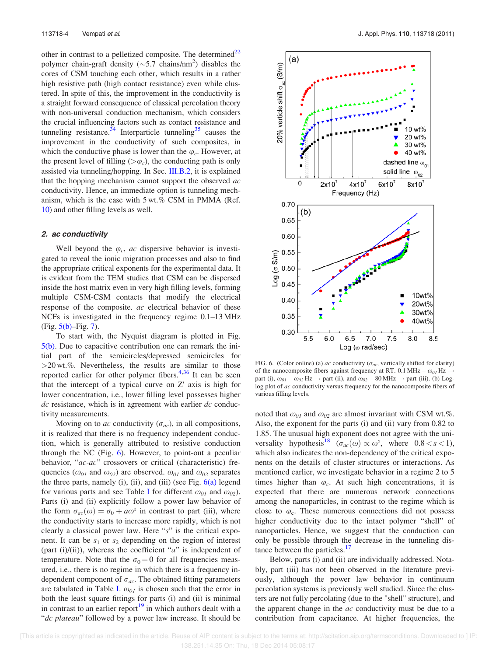other in contrast to a pelletized composite. The determined $^{22}$ polymer chain-graft density ( $\sim$ 5.7 chains/nm<sup>2</sup>) disables the cores of CSM touching each other, which results in a rather high resistive path (high contact resistance) even while clustered. In spite of this, the improvement in the conductivity is a straight forward consequence of classical percolation theory with non-universal conduction mechanism, which considers the crucial influencing factors such as contact resistance and tunneling resistance.<sup>34</sup> Interparticle tunneling<sup>35</sup> causes the improvement in the conductivity of such composites, in which the conductive phase is lower than the  $\varphi_c$ . However, at the present level of filling  $(>\varphi_c)$ , the conducting path is only assisted via tunneling/hopping. In Sec. III.B.2, it is explained that the hopping mechanism cannot support the observed  $ac$ conductivity. Hence, an immediate option is tunneling mechanism, which is the case with 5 wt.% CSM in PMMA (Ref. 10) and other filling levels as well.

#### 2. ac conductivity

Well beyond the  $\varphi_c$ , ac dispersive behavior is investigated to reveal the ionic migration processes and also to find the appropriate critical exponents for the experimental data. It is evident from the TEM studies that CSM can be dispersed inside the host matrix even in very high filling levels, forming multiple CSM-CSM contacts that modify the electrical response of the composite. ac electrical behavior of these NCFs is investigated in the frequency regime 0.1–13 MHz  $(Fig. 5(b) - Fig. 7)$ .

To start with, the Nyquist diagram is plotted in Fig. 5(b). Due to capacitive contribution one can remark the initial part of the semicircles/depressed semicircles for  $>20$  wt.%. Nevertheless, the results are similar to those reported earlier for other polymer fibers.<sup>4,36</sup> It can be seen that the intercept of a typical curve on  $Z'$  axis is high for lower concentration, i.e., lower filling level possesses higher  $dc$  resistance, which is in agreement with earlier  $dc$  conductivity measurements.

Moving on to ac conductivity ( $\sigma_{ac}$ ), in all compositions, it is realized that there is no frequency independent conduction, which is generally attributed to resistive conduction through the NC (Fig. 6). However, to point-out a peculiar behavior, "ac-ac" crossovers or critical (characteristic) frequencies ( $\omega_{01}$  and  $\omega_{02}$ ) are observed.  $\omega_{01}$  and  $\omega_{02}$  separates the three parts, namely  $(i)$ ,  $(ii)$ , and  $(iii)$  (see Fig.  $6(a)$  legend for various parts and see Table I for different  $\omega_{01}$  and  $\omega_{02}$ ). Parts (i) and (ii) explicitly follow a power law behavior of the form  $\sigma_{ac}(\omega) = \sigma_0 + a\omega^s$  in contrast to part (iii), where the conductivity starts to increase more rapidly, which is not clearly a classical power law. Here "s" is the critical exponent. It can be  $s_1$  or  $s_2$  depending on the region of interest (part (i)/(ii)), whereas the coefficient " $a$ " is independent of temperature. Note that the  $\sigma_0 = 0$  for all frequencies measured, i.e., there is no regime in which there is a frequency independent component of  $\sigma_{ac}$ . The obtained fitting parameters are tabulated in Table I.  $\omega_{01}$  is chosen such that the error in both the least square fittings for parts (i) and (ii) is minimal in contrast to an earlier report<sup>19</sup> in which authors dealt with a "dc plateau" followed by a power law increase. It should be



FIG. 6. (Color online) (a) ac conductivity ( $\sigma_{ac}$ , vertically shifted for clarity) of the nanocomposite fibers against frequency at RT. 0.1 MHz –  $\omega_{0I}$  Hz  $\rightarrow$ part (i),  $\omega_{01} - \omega_{02}$  Hz  $\rightarrow$  part (ii), and  $\omega_{02} - 80$  MHz  $\rightarrow$  part (iii). (b) Loglog plot of ac conductivity versus frequency for the nanocomposite fibers of various filling levels.

noted that  $\omega_{01}$  and  $\omega_{02}$  are almost invariant with CSM wt.%. Also, the exponent for the parts (i) and (ii) vary from 0.82 to 1.85. The unusual high exponent does not agree with the universality hypothesis<sup>18</sup> ( $\sigma_{ac}(\omega) \propto \omega^s$ , where  $0.8 < s < 1$ ), which also indicates the non-dependency of the critical exponents on the details of cluster structures or interactions. As mentioned earlier, we investigate behavior in a regime 2 to 5 times higher than  $\varphi_c$ . At such high concentrations, it is expected that there are numerous network connections among the nanoparticles, in contrast to the regime which is close to  $\varphi_c$ . These numerous connections did not possess higher conductivity due to the intact polymer "shell" of nanoparticles. Hence, we suggest that the conduction can only be possible through the decrease in the tunneling distance between the particles.<sup>17</sup>

Below, parts (i) and (ii) are individually addressed. Notably, part (iii) has not been observed in the literature previously, although the power law behavior in continuum percolation systems is previously well studied. Since the clusters are not fully percolating (due to the "shell" structure), and the apparent change in the *ac* conductivity must be due to a contribution from capacitance. At higher frequencies, the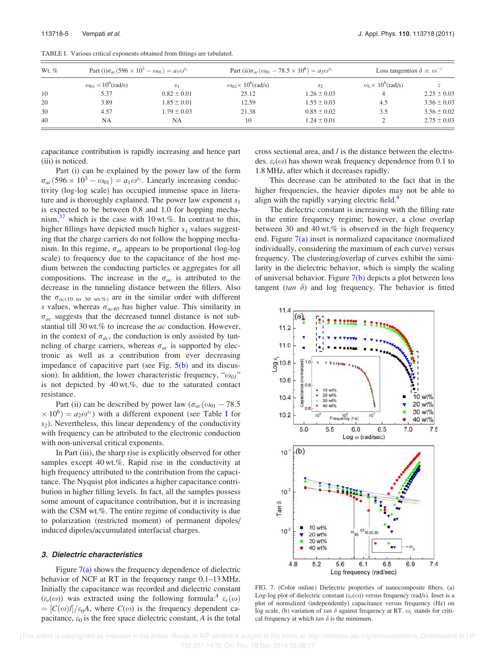| Wt. $%$ | Part (i) $\sigma_{ac}$ (596 × 10 <sup>3</sup> – $\omega_{01}$ ) = $a_1 \omega^{s_1}$ |                 | Part (ii) $\sigma_{ac}(\omega_{01} - 78.5 \times 10^6) = a_2 \omega^{s_2}$ |                 | Loss tangent tan $\delta \propto \omega^{-z}$ |                 |
|---------|--------------------------------------------------------------------------------------|-----------------|----------------------------------------------------------------------------|-----------------|-----------------------------------------------|-----------------|
|         | $\omega_{01} \times 10^6$ (rad/s)                                                    | S <sub>1</sub>  | $\omega_{02} \times 10^6$ (rad/s)                                          | S <sub>2</sub>  | $\omega_c \times 10^6$ (rad/s)                |                 |
| 10      | 5.37                                                                                 | $0.82 \pm 0.01$ | 25.12                                                                      | $1.26 \pm 0.03$ | $\overline{4}$                                | $2.25 \pm 0.03$ |
| 20      | 3.89                                                                                 | $1.85 \pm 0.01$ | 12.59                                                                      | $1.55 \pm 0.03$ | 4.5                                           | $3.56 \pm 0.03$ |
| 30      | 4.57                                                                                 | $1.79 \pm 0.03$ | 21.38                                                                      | $0.85 \pm 0.02$ | 3.5                                           | $3.56 \pm 0.02$ |
| 40      | NA                                                                                   | NΑ              | 10                                                                         | $1.24 \pm 0.01$ |                                               | $2.75 \pm 0.03$ |

TABLE I. Various critical exponents obtained from fittings are tabulated.

capacitance contribution is rapidly increasing and hence part (iii) is noticed.

Part (i) can be explained by the power law of the form  $\sigma_{ac}$ (596 × 10<sup>3</sup> –  $\omega_{01}$ ) =  $a_1\omega^{s_1}$ . Linearly increasing conductivity (log-log scale) has occupied immense space in literature and is thoroughly explained. The power law exponent  $s_1$ is expected to be between 0.8 and 1.0 for hopping mechanism,  $37$  which is the case with 10 wt.%. In contrast to this, higher fillings have depicted much higher  $s_1$  values suggesting that the charge carriers do not follow the hopping mechanism. In this regime,  $\sigma_{ac}$  appears to be proportional (log-log scale) to frequency due to the capacitance of the host medium between the conducting particles or aggregates for all compositions. The increase in the  $\sigma_{ac}$  is attributed to the decrease in the tunneling distance between the fillers. Also the  $\sigma_{ac(10 \text{ to } 30 \text{ wt.}\%)}$  are in the similar order with different s values, whereas  $\sigma_{ac40}$  has higher value. This similarity in  $\sigma_{ac}$  suggests that the decreased tunnel distance is not substantial till 30 wt.% to increase the  $ac$  conduction. However, in the context of  $\sigma_{dc}$ , the conduction is only assisted by tunneling of charge carriers, whereas  $\sigma_{ac}$  is supported by electronic as well as a contribution from ever decreasing impedance of capacitive part (see Fig. 5(b) and its discussion). In addition, the lower characteristic frequency, " $\omega_{01}$ " is not depicted by  $40 \text{ wt.}\%$ , due to the saturated contact resistance.

Part (ii) can be described by power law ( $\sigma_{ac}(\omega_{01} - 78.5)$  $\times 10^6$ ) =  $a_2\omega^{s_2}$ ) with a different exponent (see Table I for  $s<sub>2</sub>$ ). Nevertheless, this linear dependency of the conductivity with frequency can be attributed to the electronic conduction with non-universal critical exponents.

In Part (iii), the sharp rise is explicitly observed for other samples except 40 wt.%. Rapid rise in the conductivity at high frequency attributed to the contribution from the capacitance. The Nyquist plot indicates a higher capacitance contribution in higher filling levels. In fact, all the samples possess some amount of capacitance contribution, but it is increasing with the CSM wt.%. The entire regime of conductivity is due to polarization (restricted moment) of permanent dipoles/ induced dipoles/accumulated interfacial charges.

#### 3. Dielectric characteristics

Figure 7(a) shows the frequency dependence of dielectric behavior of NCF at RT in the frequency range 0.1–13 MHz. Initially the capacitance was recorded and dielectric constant  $(\varepsilon_r(\omega))$  was extracted using the following formula:<sup>4</sup>  $\varepsilon_r(\omega)$  $= [C(\omega)l]/\varepsilon_0A$ , where  $C(\omega)$  is the frequency dependent capacitance,  $\varepsilon_0$  is the free space dielectric constant, A is the total cross sectional area, and l is the distance between the electrodes.  $\varepsilon_r(\omega)$  has shown weak frequency dependence from 0.1 to 1.8 MHz, after which it decreases rapidly.

This decrease can be attributed to the fact that in the higher frequencies, the heavier dipoles may not be able to align with the rapidly varying electric field.<sup>4</sup>

The dielectric constant is increasing with the filling rate in the entire frequency regime; however, a close overlap between 30 and 40 wt.% is observed in the high frequency end. Figure  $7(a)$  inset is normalized capacitance (normalized individually, considering the maximum of each curve) versus frequency. The clustering/overlap of curves exhibit the similarity in the dielectric behavior, which is simply the scaling of universal behavior. Figure 7(b) depicts a plot between loss tangent (tan  $\delta$ ) and log frequency. The behavior is fitted



FIG. 7. (Color online) Dielectric properties of nanocomposite fibers. (a) Log-log plot of dielectric constant  $(\varepsilon_r(\omega))$  versus frequency (rad/s). Inset is a plot of normalized (independently) capacitance versus frequency (Hz) on log scale, (b) variation of tan  $\delta$  against frequency at RT.  $\omega_c$  stands for critical frequency at which  $tan \delta$  is the minimum.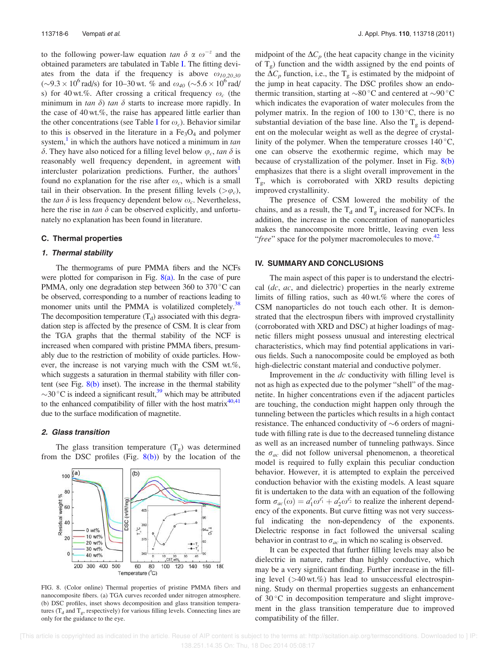to the following power-law equation tan  $\delta \propto \omega^{-z}$  and the obtained parameters are tabulated in Table I. The fitting deviates from the data if the frequency is above  $\omega_{10,20,30}$  $(\sim 9.3 \times 10^6 \text{ rad/s})$  for 10–30 wt. % and  $\omega_{40}$  ( $\sim 5.6 \times 10^6 \text{ rad/s}$ ) s) for 40 wt.%. After crossing a critical frequency  $\omega_c$  (the minimum in tan  $\delta$ ) tan  $\delta$  starts to increase more rapidly. In the case of 40 wt.%, the raise has appeared little earlier than the other concentrations (see Table I for  $\omega_c$ ). Behavior similar to this is observed in the literature in a  $Fe<sub>3</sub>O<sub>4</sub>$  and polymer system,<sup>1</sup> in which the authors have noticed a minimum in  $tan$  $\delta$ . They have also noticed for a filling level below  $\varphi_c$ , tan  $\delta$  is reasonably well frequency dependent, in agreement with intercluster polarization predictions. Further, the authors<sup>1</sup> found no explanation for the rise after  $\omega_c$ , which is a small tail in their observation. In the present filling levels  $(>\varphi_c)$ , the tan  $\delta$  is less frequency dependent below  $\omega_c$ . Nevertheless, here the rise in tan  $\delta$  can be observed explicitly, and unfortunately no explanation has been found in literature.

#### C. Thermal properties

#### 1. Thermal stability

The thermograms of pure PMMA fibers and the NCFs were plotted for comparison in Fig.  $8(a)$ . In the case of pure PMMA, only one degradation step between  $360$  to  $370^{\circ}$ C can be observed, corresponding to a number of reactions leading to monomer units until the PMMA is volatilized completely.<sup>38</sup> The decomposition temperature  $(T_d)$  associated with this degradation step is affected by the presence of CSM. It is clear from the TGA graphs that the thermal stability of the NCF is increased when compared with pristine PMMA fibers, presumably due to the restriction of mobility of oxide particles. However, the increase is not varying much with the CSM wt.%, which suggests a saturation in thermal stability with filler content (see Fig.  $8(b)$  inset). The increase in the thermal stability  $\sim$ 30 °C is indeed a significant result,<sup>39</sup> which may be attributed to the enhanced compatibility of filler with the host matrix $40,41$ due to the surface modification of magnetite.

#### 2. Glass transition

The glass transition temperature  $(T_g)$  was determined from the DSC profiles (Fig.  $8(b)$ ) by the location of the



FIG. 8. (Color online) Thermal properties of pristine PMMA fibers and nanocomposite fibers. (a) TGA curves recorded under nitrogen atmosphere. (b) DSC profiles, inset shows decomposition and glass transition temperatures ( $T_d$  and  $T_g$ , respectively) for various filling levels. Connecting lines are only for the guidance to the eye.

midpoint of the  $\Delta C_p$  (the heat capacity change in the vicinity of  $T_g$ ) function and the width assigned by the end points of the  $\Delta C_p$  function, i.e., the T<sub>g</sub> is estimated by the midpoint of the jump in heat capacity. The DSC profiles show an endothermic transition, starting at  $\sim 80^{\circ}$ C and centered at  $\sim 90^{\circ}$ C which indicates the evaporation of water molecules from the polymer matrix. In the region of 100 to  $130^{\circ}$ C, there is no substantial deviation of the base line. Also the  $T_g$  is dependent on the molecular weight as well as the degree of crystallinity of the polymer. When the temperature crosses  $140^{\circ}$ C, one can observe the exothermic regime, which may be because of crystallization of the polymer. Inset in Fig. 8(b) emphasizes that there is a slight overall improvement in the Tg , which is corroborated with XRD results depicting improved crystallinity.

The presence of CSM lowered the mobility of the chains, and as a result, the  $T_d$  and  $T_g$  increased for NCFs. In addition, the increase in the concentration of nanoparticles makes the nanocomposite more brittle, leaving even less "free" space for the polymer macromolecules to move.<sup>42</sup>

### IV. SUMMARY AND CONCLUSIONS

The main aspect of this paper is to understand the electrical  $(dc, ac, and dielectric)$  properties in the nearly extreme limits of filling ratios, such as 40 wt.% where the cores of CSM nanoparticles do not touch each other. It is demonstrated that the electrospun fibers with improved crystallinity (corroborated with XRD and DSC) at higher loadings of magnetic fillers might possess unusual and interesting electrical characteristics, which may find potential applications in various fields. Such a nanocomposite could be employed as both high-dielectric constant material and conductive polymer.

Improvement in the dc conductivity with filling level is not as high as expected due to the polymer "shell" of the magnetite. In higher concentrations even if the adjacent particles are touching, the conduction might happen only through the tunneling between the particles which results in a high contact resistance. The enhanced conductivity of  $\sim$ 6 orders of magnitude with filling rate is due to the decreased tunneling distance as well as an increased number of tunneling pathways. Since the  $\sigma_{ac}$  did not follow universal phenomenon, a theoretical model is required to fully explain this peculiar conduction behavior. However, it is attempted to explain the perceived conduction behavior with the existing models. A least square fit is undertaken to the data with an equation of the following form  $\sigma_{ac}(\omega) = a'_1 \omega^{s'_1} + a'_2 \omega^{s'_2}$  to realize the inherent dependency of the exponents. But curve fitting was not very successful indicating the non-dependency of the exponents. Dielectric response in fact followed the universal scaling behavior in contrast to  $\sigma_{ac}$  in which no scaling is observed.

It can be expected that further filling levels may also be dielectric in nature, rather than highly conductive, which may be a very significant finding. Further increase in the filling level  $(>40 \text{ wt.}\%)$  has lead to unsuccessful electrospinning. Study on thermal properties suggests an enhancement of  $30^{\circ}$ C in decomposition temperature and slight improvement in the glass transition temperature due to improved compatibility of the filler.